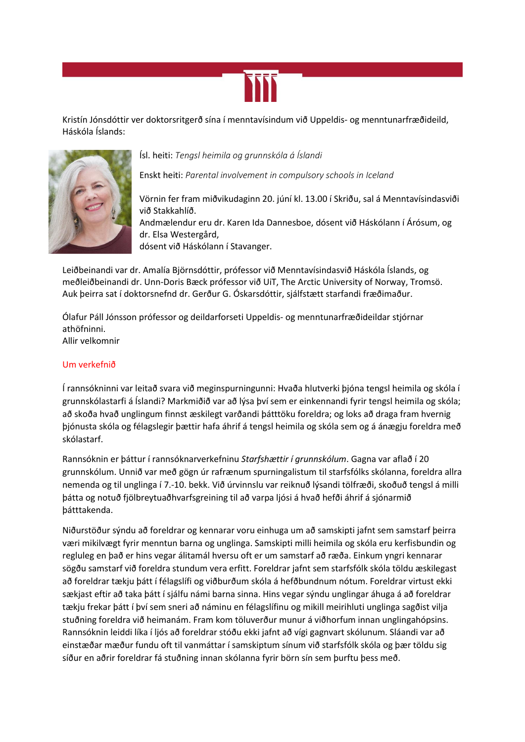

Kristín Jónsdóttir ver doktorsritgerð sína í menntavísindum við Uppeldis- og menntunarfræðideild, Háskóla Íslands:



## Ísl. heiti: *Tengsl heimila og grunnskóla á Íslandi*

Enskt heiti: *Parental involvement in compulsory schools in Iceland*

Vörnin fer fram miðvikudaginn 20. júní kl. 13.00 í Skriðu, sal á Menntavísindasviði við Stakkahlíð. Andmælendur eru dr. Karen Ida Dannesboe, dósent við Háskólann í Árósum, og dr. Elsa Westergård, dósent við Háskólann í Stavanger.

Leiðbeinandi var dr. Amalía Björnsdóttir, prófessor við Menntavísindasvið Háskóla Íslands, og meðleiðbeinandi dr. Unn-Doris Bæck prófessor við UiT, The Arctic University of Norway, Tromsö. Auk þeirra sat í doktorsnefnd dr. Gerður G. Óskarsdóttir, sjálfstætt starfandi fræðimaður.

Ólafur Páll Jónsson prófessor og deildarforseti Uppeldis- og menntunarfræðideildar stjórnar athöfninni. Allir velkomnir

## Um verkefnið

Í rannsókninni var leitað svara við meginspurningunni: Hvaða hlutverki þjóna tengsl heimila og skóla í grunnskólastarfi á Íslandi? Markmiðið var að lýsa því sem er einkennandi fyrir tengsl heimila og skóla; að skoða hvað unglingum finnst æskilegt varðandi þátttöku foreldra; og loks að draga fram hvernig þjónusta skóla og félagslegir þættir hafa áhrif á tengsl heimila og skóla sem og á ánægju foreldra með skólastarf.

Rannsóknin er þáttur í rannsóknarverkefninu *Starfshættir í grunnskólum*. Gagna var aflað í 20 grunnskólum. Unnið var með gögn úr rafrænum spurningalistum til starfsfólks skólanna, foreldra allra nemenda og til unglinga í 7.-10. bekk. Við úrvinnslu var reiknuð lýsandi tölfræði, skoðuð tengsl á milli þátta og notuð fjölbreytuaðhvarfsgreining til að varpa ljósi á hvað hefði áhrif á sjónarmið þátttakenda.

Niðurstöður sýndu að foreldrar og kennarar voru einhuga um að samskipti jafnt sem samstarf þeirra væri mikilvægt fyrir menntun barna og unglinga. Samskipti milli heimila og skóla eru kerfisbundin og regluleg en það er hins vegar álitamál hversu oft er um samstarf að ræða. Einkum yngri kennarar sögðu samstarf við foreldra stundum vera erfitt. Foreldrar jafnt sem starfsfólk skóla töldu æskilegast að foreldrar tækju þátt í félagslífi og viðburðum skóla á hefðbundnum nótum. Foreldrar virtust ekki sækjast eftir að taka þátt í sjálfu námi barna sinna. Hins vegar sýndu unglingar áhuga á að foreldrar tækju frekar þátt í því sem sneri að náminu en félagslífinu og mikill meirihluti unglinga sagðist vilja stuðning foreldra við heimanám. Fram kom töluverður munur á viðhorfum innan unglingahópsins. Rannsóknin leiddi líka í ljós að foreldrar stóðu ekki jafnt að vígi gagnvart skólunum. Sláandi var að einstæðar mæður fundu oft til vanmáttar í samskiptum sínum við starfsfólk skóla og þær töldu sig síður en aðrir foreldrar fá stuðning innan skólanna fyrir börn sín sem þurftu þess með.